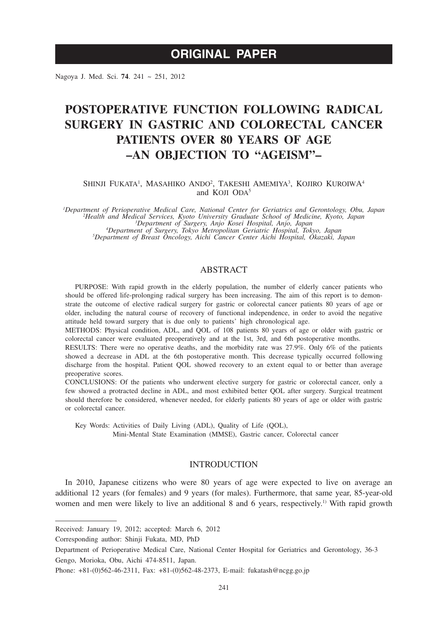# **ORIGINAL PAPER**

Nagoya J. Med. Sci. **74**. 241 ~ 251, 2012

# **POSTOPERATIVE FUNCTION FOLLOWING RADICAL SURGERY IN GASTRIC AND COLORECTAL CANCER PATIENTS OVER 80 YEARS OF AGE –AN OBJECTION TO "AGEISM"–**

SHINJI FUKATA<sup>1</sup>, MASAHIKO ANDO<sup>2</sup>, TAKESHI AMEMIYA<sup>3</sup>, KOJIRO KUROIWA<sup>4</sup> and KOJI ODA<sup>5</sup>

*1 Department of Perioperative Medical Care, National Center for Geriatrics and Gerontology, Obu, Japan 2 Health and Medical Services, Kyoto University Graduate School of Medicine, Kyoto, Japan <sup>3</sup> Department of Surgery, Anjo Kosei Hospital, Anjo, Japan <sup>4</sup> Department of Surgery, Tokyo Metropolitan Geriatric Hospital, Tokyo, Japan <sup>5</sup>*

*Department of Breast Oncology, Aichi Cancer Center Aichi Hospital, Okazaki, Japan*

# **ABSTRACT**

PURPOSE: With rapid growth in the elderly population, the number of elderly cancer patients who should be offered life-prolonging radical surgery has been increasing. The aim of this report is to demonstrate the outcome of elective radical surgery for gastric or colorectal cancer patients 80 years of age or older, including the natural course of recovery of functional independence, in order to avoid the negative attitude held toward surgery that is due only to patients' high chronological age.

METHODS: Physical condition, ADL, and QOL of 108 patients 80 years of age or older with gastric or colorectal cancer were evaluated preoperatively and at the 1st, 3rd, and 6th postoperative months.

RESULTS: There were no operative deaths, and the morbidity rate was 27.9%. Only 6% of the patients showed a decrease in ADL at the 6th postoperative month. This decrease typically occurred following discharge from the hospital. Patient QOL showed recovery to an extent equal to or better than average preoperative scores.

CONCLUSIONS: Of the patients who underwent elective surgery for gastric or colorectal cancer, only a few showed a protracted decline in ADL, and most exhibited better QOL after surgery. Surgical treatment should therefore be considered, whenever needed, for elderly patients 80 years of age or older with gastric or colorectal cancer.

Key Words: Activities of Daily Living (ADL), Quality of Life (QOL), Mini-Mental State Examination (MMSE), Gastric cancer, Colorectal cancer

# INTRODUCTION

In 2010, Japanese citizens who were 80 years of age were expected to live on average an additional 12 years (for females) and 9 years (for males). Furthermore, that same year, 85-year-old women and men were likely to live an additional 8 and 6 years, respectively.<sup>1)</sup> With rapid growth

Corresponding author: Shinji Fukata, MD, PhD

Received: January 19, 2012; accepted: March 6, 2012

Department of Perioperative Medical Care, National Center Hospital for Geriatrics and Gerontology, 36-3 Gengo, Morioka, Obu, Aichi 474-8511, Japan.

Phone: +81-(0)562-46-2311, Fax: +81-(0)562-48-2373, E-mail: fukatash@ncgg.go.jp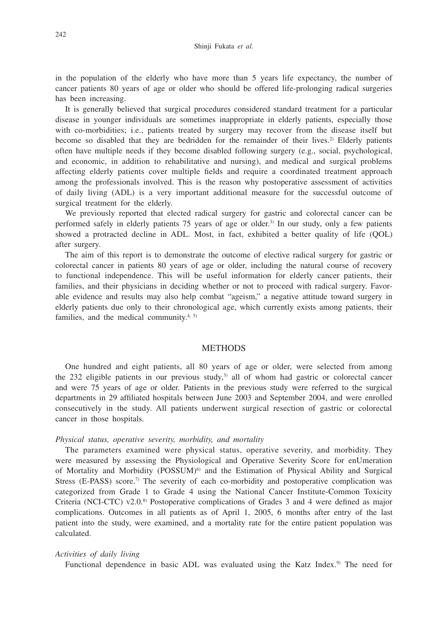in the population of the elderly who have more than 5 years life expectancy, the number of cancer patients 80 years of age or older who should be offered life-prolonging radical surgeries has been increasing.

It is generally believed that surgical procedures considered standard treatment for a particular disease in younger individuals are sometimes inappropriate in elderly patients, especially those with co-morbidities; i.e., patients treated by surgery may recover from the disease itself but become so disabled that they are bedridden for the remainder of their lives.<sup>2)</sup> Elderly patients often have multiple needs if they become disabled following surgery (e.g., social, psychological, and economic, in addition to rehabilitative and nursing), and medical and surgical problems affecting elderly patients cover multiple fields and require a coordinated treatment approach among the professionals involved. This is the reason why postoperative assessment of activities of daily living (ADL) is a very important additional measure for the successful outcome of surgical treatment for the elderly.

We previously reported that elected radical surgery for gastric and colorectal cancer can be performed safely in elderly patients 75 years of age or older.3) In our study, only a few patients showed a protracted decline in ADL. Most, in fact, exhibited a better quality of life (QOL) after surgery.

The aim of this report is to demonstrate the outcome of elective radical surgery for gastric or colorectal cancer in patients 80 years of age or older, including the natural course of recovery to functional independence. This will be useful information for elderly cancer patients, their families, and their physicians in deciding whether or not to proceed with radical surgery. Favorable evidence and results may also help combat "ageism," a negative attitude toward surgery in elderly patients due only to their chronological age, which currently exists among patients, their families, and the medical community.<sup>4, 5)</sup>

## **METHODS**

One hundred and eight patients, all 80 years of age or older, were selected from among the 232 eligible patients in our previous study,<sup>3)</sup> all of whom had gastric or colorectal cancer and were 75 years of age or older. Patients in the previous study were referred to the surgical departments in 29 affiliated hospitals between June 2003 and September 2004, and were enrolled consecutively in the study. All patients underwent surgical resection of gastric or colorectal cancer in those hospitals.

#### *Physical status, operative severity, morbidity, and mortality*

The parameters examined were physical status, operative severity, and morbidity. They were measured by assessing the Physiological and Operative Severity Score for enUmeration of Mortality and Morbidity (POSSUM)<sup>6)</sup> and the Estimation of Physical Ability and Surgical Stress (E-PASS) score.<sup>7)</sup> The severity of each co-morbidity and postoperative complication was categorized from Grade 1 to Grade 4 using the National Cancer Institute-Common Toxicity Criteria (NCI-CTC) v2.0.<sup>8)</sup> Postoperative complications of Grades 3 and 4 were defined as major complications. Outcomes in all patients as of April 1, 2005, 6 months after entry of the last patient into the study, were examined, and a mortality rate for the entire patient population was calculated.

#### *Activities of daily living*

Functional dependence in basic ADL was evaluated using the Katz Index.<sup>9)</sup> The need for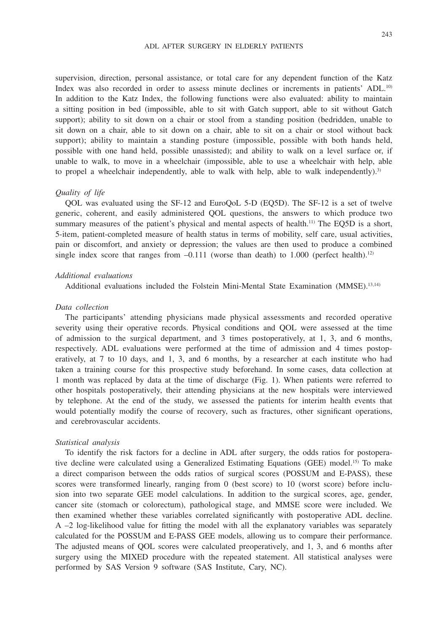#### ADL AFTER SURGERY IN ELDERLY PATIENTS

supervision, direction, personal assistance, or total care for any dependent function of the Katz Index was also recorded in order to assess minute declines or increments in patients' ADL.<sup>10)</sup> In addition to the Katz Index, the following functions were also evaluated: ability to maintain a sitting position in bed (impossible, able to sit with Gatch support, able to sit without Gatch support); ability to sit down on a chair or stool from a standing position (bedridden, unable to sit down on a chair, able to sit down on a chair, able to sit on a chair or stool without back support); ability to maintain a standing posture (impossible, possible with both hands held, possible with one hand held, possible unassisted); and ability to walk on a level surface or, if unable to walk, to move in a wheelchair (impossible, able to use a wheelchair with help, able to propel a wheelchair independently, able to walk with help, able to walk independently).<sup>3)</sup>

## *Quality of life*

QOL was evaluated using the SF-12 and EuroQoL 5-D (EQ5D). The SF-12 is a set of twelve generic, coherent, and easily administered QOL questions, the answers to which produce two summary measures of the patient's physical and mental aspects of health.<sup>11)</sup> The EQ5D is a short, 5-item, patient-completed measure of health status in terms of mobility, self care, usual activities, pain or discomfort, and anxiety or depression; the values are then used to produce a combined single index score that ranges from  $-0.111$  (worse than death) to 1.000 (perfect health).<sup>12)</sup>

## *Additional evaluations*

Additional evaluations included the Folstein Mini-Mental State Examination (MMSE).13,14)

#### *Data collection*

The participants' attending physicians made physical assessments and recorded operative severity using their operative records. Physical conditions and QOL were assessed at the time of admission to the surgical department, and 3 times postoperatively, at 1, 3, and 6 months, respectively. ADL evaluations were performed at the time of admission and 4 times postoperatively, at 7 to 10 days, and 1, 3, and 6 months, by a researcher at each institute who had taken a training course for this prospective study beforehand. In some cases, data collection at 1 month was replaced by data at the time of discharge (Fig. 1). When patients were referred to other hospitals postoperatively, their attending physicians at the new hospitals were interviewed by telephone. At the end of the study, we assessed the patients for interim health events that would potentially modify the course of recovery, such as fractures, other significant operations, and cerebrovascular accidents.

#### *Statistical analysis*

To identify the risk factors for a decline in ADL after surgery, the odds ratios for postoperative decline were calculated using a Generalized Estimating Equations (GEE) model.15) To make a direct comparison between the odds ratios of surgical scores (POSSUM and E-PASS), these scores were transformed linearly, ranging from 0 (best score) to 10 (worst score) before inclusion into two separate GEE model calculations. In addition to the surgical scores, age, gender, cancer site (stomach or colorectum), pathological stage, and MMSE score were included. We then examined whether these variables correlated significantly with postoperative ADL decline.  $A -2$  log-likelihood value for fitting the model with all the explanatory variables was separately calculated for the POSSUM and E-PASS GEE models, allowing us to compare their performance. The adjusted means of QOL scores were calculated preoperatively, and 1, 3, and 6 months after surgery using the MIXED procedure with the repeated statement. All statistical analyses were performed by SAS Version 9 software (SAS Institute, Cary, NC).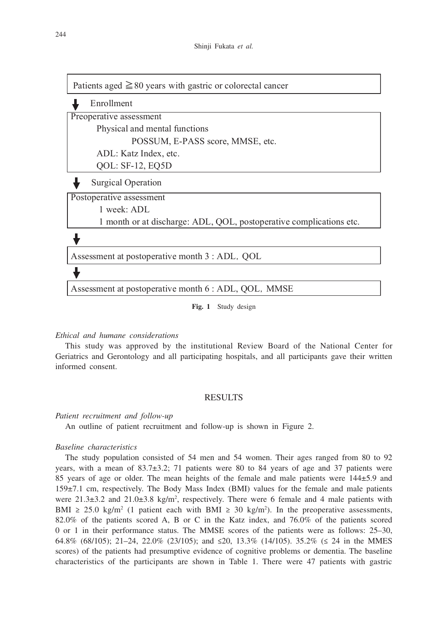Enrollment Preoperative assessment Physical and mental functions POSSUM, E-PASS score, MMSE, etc. ADL: Katz Index, etc. QOL: SF-12, EQ5D Postoperative assessment 1 week: ADL 1 month or at discharge: ADL, QOL, postoperative complications etc. Assessment at postoperative month 3 : ADL, QOL Assessment at postoperative month 6 : ADL, QOL, MMSE Surgical Operation Patients aged  $\geq 80$  years with gastric or colorectal cancer

**Fig. 1** Study design

## *Ethical and humane considerations*

This study was approved by the institutional Review Board of the National Center for Geriatrics and Gerontology and all participating hospitals, and all participants gave their written informed consent.

#### RESULTS

#### *Patient recruitment and follow-up*

An outline of patient recruitment and follow-up is shown in Figure 2.

## *Baseline characteristics*

The study population consisted of 54 men and 54 women. Their ages ranged from 80 to 92 years, with a mean of  $83.7\pm3.2$ ; 71 patients were 80 to 84 years of age and 37 patients were 85 years of age or older. The mean heights of the female and male patients were 144±5.9 and 159±7.1 cm, respectively. The Body Mass Index (BMI) values for the female and male patients were  $21.3\pm3.2$  and  $21.0\pm3.8$  kg/m<sup>2</sup>, respectively. There were 6 female and 4 male patients with BMI  $\geq$  25.0 kg/m<sup>2</sup> (1 patient each with BMI  $\geq$  30 kg/m<sup>2</sup>). In the preoperative assessments, 82.0% of the patients scored A, B or C in the Katz index, and 76.0% of the patients scored 0 or 1 in their performance status. The MMSE scores of the patients were as follows: 25–30, 64.8% (68/105); 21–24, 22.0% (23/105); and ≤20, 13.3% (14/105). 35.2% (≤ 24 in the MMES scores) of the patients had presumptive evidence of cognitive problems or dementia. The baseline characteristics of the participants are shown in Table 1. There were 47 patients with gastric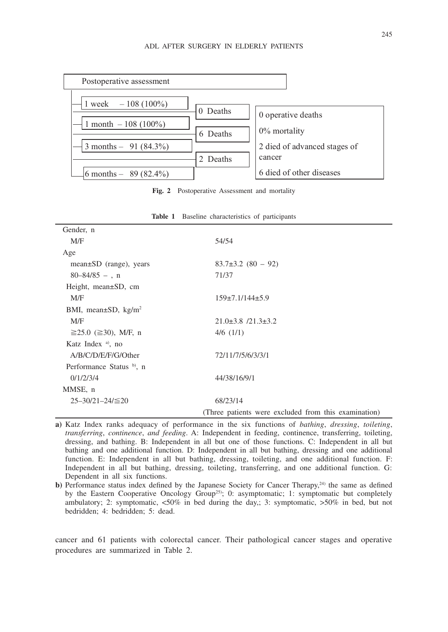

**Fig. 2** Postoperative Assessment and mortality

| Gender, n                             |                                                      |
|---------------------------------------|------------------------------------------------------|
| M/F                                   | 54/54                                                |
| Age                                   |                                                      |
| $mean \pm SD$ (range), years          | $83.7\pm3.2(80-92)$                                  |
| $80 - 84/85 - n$                      | 71/37                                                |
| Height, mean $\pm SD$ , cm            |                                                      |
| M/F                                   | $159\pm7.1/144\pm5.9$                                |
| BMI, mean $\pm$ SD, kg/m <sup>2</sup> |                                                      |
| M/F                                   | $21.0\pm3.8$ /21.3 $\pm3.2$                          |
| $\geq$ 25.0 (≥30), M/F, n             | $4/6$ $(1/1)$                                        |
| Katz Index $a$ , no                   |                                                      |
| A/B/C/D/E/F/G/Other                   | 72/11/7/5/6/3/3/1                                    |
| Performance Status b), n              |                                                      |
| 0/1/2/3/4                             | 44/38/16/9/1                                         |
| MMSE, n                               |                                                      |
| $25 - 30/21 - 24 \le 20$              | 68/23/14                                             |
|                                       | (Three patients were excluded from this examination) |

**Table 1** Baseline characteristics of participants

**a)** Katz Index ranks adequacy of performance in the six functions of *bathing*, *dressing*, *toileting*, *transferring*, *continence*, *and feeding*. A: Independent in feeding, continence, transferring, toileting, dressing, and bathing. B: Independent in all but one of those functions. C: Independent in all but bathing and one additional function. D: Independent in all but bathing, dressing and one additional function. E: Independent in all but bathing, dressing, toileting, and one additional function. F: Independent in all but bathing, dressing, toileting, transferring, and one additional function. G: Dependent in all six functions.

**b)** Performance status index defined by the Japanese Society for Cancer Therapy, $24$  the same as defined by the Eastern Cooperative Oncology Group<sup>25)</sup>; 0: asymptomatic; 1: symptomatic but completely ambulatory; 2: symptomatic, <50% in bed during the day,; 3: symptomatic, >50% in bed, but not bedridden; 4: bedridden; 5: dead.

cancer and 61 patients with colorectal cancer. Their pathological cancer stages and operative procedures are summarized in Table 2.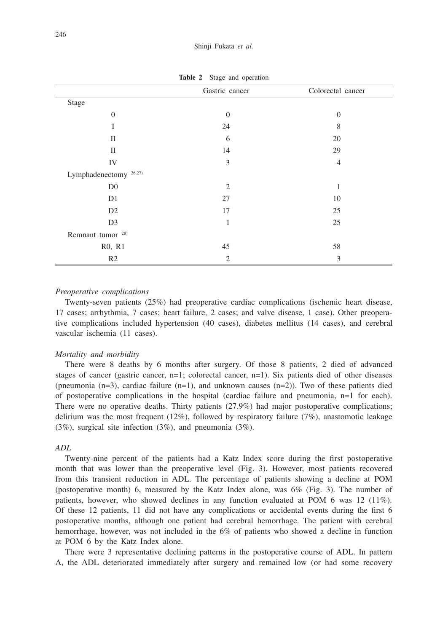|                                   | Gastric cancer | Colorectal cancer |  |
|-----------------------------------|----------------|-------------------|--|
| Stage                             |                |                   |  |
| $\mathbf{0}$                      | $\mathbf{0}$   | $\Omega$          |  |
| I                                 | 24             | 8                 |  |
| $\mathbf{I}$                      | 6              | 20                |  |
| $\mathbf{I}$                      | 14             | 29                |  |
| IV                                | $\mathfrak{Z}$ | $\overline{4}$    |  |
| Lymphadenectomy <sup>26,27)</sup> |                |                   |  |
| D <sub>0</sub>                    | $\overline{2}$ | 1                 |  |
| D <sub>1</sub>                    | 27             | 10                |  |
| D2                                | 17             | 25                |  |
| D <sub>3</sub>                    | 1              | 25                |  |
| Remnant tumor <sup>28)</sup>      |                |                   |  |
| R0, R1                            | 45             | 58                |  |
| R2                                | 2              | 3                 |  |

**Table 2** Stage and operation

## *Preoperative complications*

Twenty-seven patients (25%) had preoperative cardiac complications (ischemic heart disease, 17 cases; arrhythmia, 7 cases; heart failure, 2 cases; and valve disease, 1 case). Other preoperative complications included hypertension (40 cases), diabetes mellitus (14 cases), and cerebral vascular ischemia (11 cases).

#### *Mortality and morbidity*

There were 8 deaths by 6 months after surgery. Of those 8 patients, 2 died of advanced stages of cancer (gastric cancer, n=1; colorectal cancer, n=1). Six patients died of other diseases (pneumonia  $(n=3)$ , cardiac failure  $(n=1)$ , and unknown causes  $(n=2)$ ). Two of these patients died of postoperative complications in the hospital (cardiac failure and pneumonia, n=1 for each). There were no operative deaths. Thirty patients (27.9%) had major postoperative complications; delirium was the most frequent  $(12\%)$ , followed by respiratory failure  $(7\%)$ , anastomotic leakage (3%), surgical site infection (3%), and pneumonia (3%).

## *ADL*

Twenty-nine percent of the patients had a Katz Index score during the first postoperative month that was lower than the preoperative level (Fig. 3). However, most patients recovered from this transient reduction in ADL. The percentage of patients showing a decline at POM (postoperative month) 6, measured by the Katz Index alone, was 6% (Fig. 3). The number of patients, however, who showed declines in any function evaluated at POM 6 was 12 (11%). Of these 12 patients, 11 did not have any complications or accidental events during the first 6 postoperative months, although one patient had cerebral hemorrhage. The patient with cerebral hemorrhage, however, was not included in the 6% of patients who showed a decline in function at POM 6 by the Katz Index alone.

There were 3 representative declining patterns in the postoperative course of ADL. In pattern A, the ADL deteriorated immediately after surgery and remained low (or had some recovery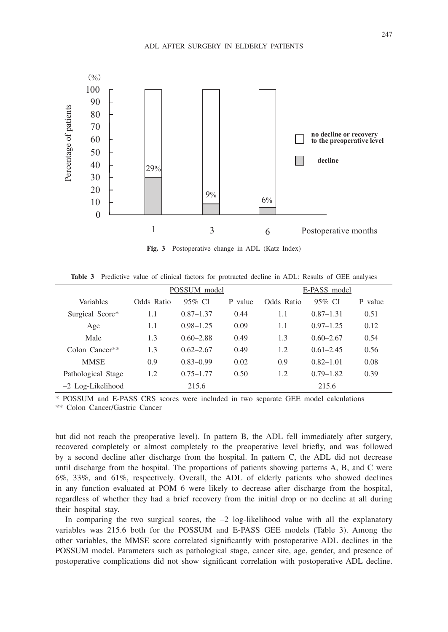

**Fig. 3** Postoperative change in ADL (Katz Index)

**Table 3** Predictive value of clinical factors for protracted decline in ADL: Results of GEE analyses

|                     | POSSUM model |               |         | E-PASS model |               |         |
|---------------------|--------------|---------------|---------|--------------|---------------|---------|
| Variables           | Odds Ratio   | 95% CI        | P value | Odds Ratio   | 95% CI        | P value |
| Surgical Score*     | 1.1          | $0.87 - 1.37$ | 0.44    | 1.1          | $0.87 - 1.31$ | 0.51    |
| Age                 | 1.1          | $0.98 - 1.25$ | 0.09    | 1.1          | $0.97 - 1.25$ | 0.12    |
| Male                | 1.3          | $0.60 - 2.88$ | 0.49    | 1.3          | $0.60 - 2.67$ | 0.54    |
| Colon Cancer**      | 1.3          | $0.62 - 2.67$ | 0.49    | 1.2          | $0.61 - 2.45$ | 0.56    |
| <b>MMSE</b>         | 0.9          | $0.83 - 0.99$ | 0.02    | 0.9          | $0.82 - 1.01$ | 0.08    |
| Pathological Stage  | 1.2          | $0.75 - 1.77$ | 0.50    | 1.2          | $0.79 - 1.82$ | 0.39    |
| $-2$ Log-Likelihood |              | 215.6         |         |              | 215.6         |         |

\* POSSUM and E-PASS CRS scores were included in two separate GEE model calculations

\*\* Colon Cancer/Gastric Cancer

but did not reach the preoperative level). In pattern B, the ADL fell immediately after surgery, recovered completely or almost completely to the preoperative level briefly, and was followed by a second decline after discharge from the hospital. In pattern C, the ADL did not decrease until discharge from the hospital. The proportions of patients showing patterns A, B, and C were 6%, 33%, and 61%, respectively. Overall, the ADL of elderly patients who showed declines in any function evaluated at POM 6 were likely to decrease after discharge from the hospital, regardless of whether they had a brief recovery from the initial drop or no decline at all during their hospital stay.

In comparing the two surgical scores, the  $-2$  log-likelihood value with all the explanatory variables was 215.6 both for the POSSUM and E-PASS GEE models (Table 3). Among the other variables, the MMSE score correlated significantly with postoperative ADL declines in the POSSUM model. Parameters such as pathological stage, cancer site, age, gender, and presence of postoperative complications did not show significant correlation with postoperative ADL decline.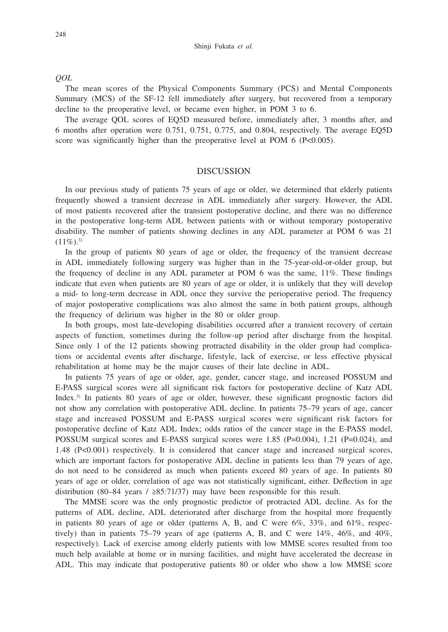*QOL* 

The mean scores of the Physical Components Summary (PCS) and Mental Components Summary (MCS) of the SF-12 fell immediately after surgery, but recovered from a temporary decline to the preoperative level, or became even higher, in POM 3 to 6.

The average QOL scores of EQ5D measured before, immediately after, 3 months after, and 6 months after operation were 0.751, 0.751, 0.775, and 0.804, respectively. The average EQ5D score was significantly higher than the preoperative level at POM 6 (P<0.005).

## DISCUSSION

In our previous study of patients 75 years of age or older, we determined that elderly patients frequently showed a transient decrease in ADL immediately after surgery. However, the ADL of most patients recovered after the transient postoperative decline, and there was no difference in the postoperative long-term ADL between patients with or without temporary postoperative disability. The number of patients showing declines in any ADL parameter at POM 6 was 21  $(11\%)$ <sup>3)</sup>

In the group of patients 80 years of age or older, the frequency of the transient decrease in ADL immediately following surgery was higher than in the 75-year-old-or-older group, but the frequency of decline in any ADL parameter at POM 6 was the same, 11%. These findings indicate that even when patients are 80 years of age or older, it is unlikely that they will develop a mid- to long-term decrease in ADL once they survive the perioperative period. The frequency of major postoperative complications was also almost the same in both patient groups, although the frequency of delirium was higher in the 80 or older group.

In both groups, most late-developing disabilities occurred after a transient recovery of certain aspects of function, sometimes during the follow-up period after discharge from the hospital. Since only 1 of the 12 patients showing protracted disability in the older group had complications or accidental events after discharge, lifestyle, lack of exercise, or less effective physical rehabilitation at home may be the major causes of their late decline in ADL.

In patients 75 years of age or older, age, gender, cancer stage, and increased POSSUM and E-PASS surgical scores were all significant risk factors for postoperative decline of Katz ADL Index.<sup>3)</sup> In patients 80 years of age or older, however, these significant prognostic factors did not show any correlation with postoperative ADL decline. In patients 75–79 years of age, cancer stage and increased POSSUM and E-PASS surgical scores were significant risk factors for postoperative decline of Katz ADL Index; odds ratios of the cancer stage in the E-PASS model, POSSUM surgical scores and E-PASS surgical scores were 1.85 (P=0.004), 1.21 (P=0.024), and 1.48 (P<0.001) respectively. It is considered that cancer stage and increased surgical scores, which are important factors for postoperative ADL decline in patients less than 79 years of age, do not need to be considered as much when patients exceed 80 years of age. In patients 80 years of age or older, correlation of age was not statistically significant, either. Deflection in age distribution (80–84 years / ≥85:71/37) may have been responsible for this result.

The MMSE score was the only prognostic predictor of protracted ADL decline. As for the patterns of ADL decline, ADL deteriorated after discharge from the hospital more frequently in patients 80 years of age or older (patterns A, B, and C were  $6\%$ , 33%, and  $61\%$ , respectively) than in patients  $75-79$  years of age (patterns A, B, and C were  $14\%$ ,  $46\%$ , and  $40\%$ , respectively). Lack of exercise among elderly patients with low MMSE scores resulted from too much help available at home or in nursing facilities, and might have accelerated the decrease in ADL. This may indicate that postoperative patients 80 or older who show a low MMSE score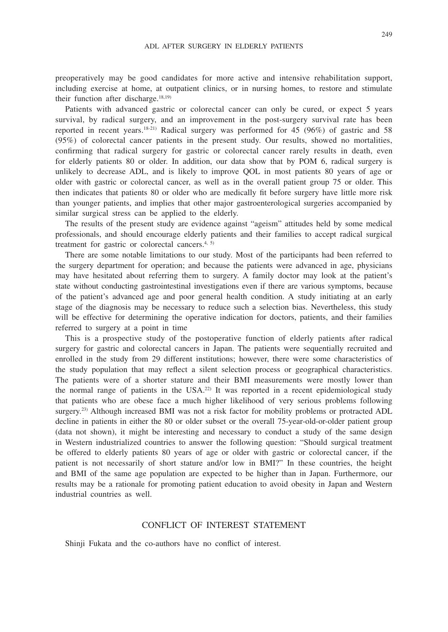preoperatively may be good candidates for more active and intensive rehabilitation support, including exercise at home, at outpatient clinics, or in nursing homes, to restore and stimulate their function after discharge. $18,19$ )

Patients with advanced gastric or colorectal cancer can only be cured, or expect 5 years survival, by radical surgery, and an improvement in the post-surgery survival rate has been reported in recent years.<sup>18-21)</sup> Radical surgery was performed for 45 (96%) of gastric and 58 (95%) of colorectal cancer patients in the present study. Our results, showed no mortalities, confirming that radical surgery for gastric or colorectal cancer rarely results in death, even for elderly patients 80 or older. In addition, our data show that by POM 6, radical surgery is unlikely to decrease ADL, and is likely to improve QOL in most patients 80 years of age or older with gastric or colorectal cancer, as well as in the overall patient group 75 or older. This then indicates that patients 80 or older who are medically fit before surgery have little more risk than younger patients, and implies that other major gastroenterological surgeries accompanied by similar surgical stress can be applied to the elderly.

The results of the present study are evidence against "ageism" attitudes held by some medical professionals, and should encourage elderly patients and their families to accept radical surgical treatment for gastric or colorectal cancers.<sup>4, 5)</sup>

There are some notable limitations to our study. Most of the participants had been referred to the surgery department for operation; and because the patients were advanced in age, physicians may have hesitated about referring them to surgery. A family doctor may look at the patient's state without conducting gastrointestinal investigations even if there are various symptoms, because of the patient's advanced age and poor general health condition. A study initiating at an early stage of the diagnosis may be necessary to reduce such a selection bias. Nevertheless, this study will be effective for determining the operative indication for doctors, patients, and their families referred to surgery at a point in time

This is a prospective study of the postoperative function of elderly patients after radical surgery for gastric and colorectal cancers in Japan. The patients were sequentially recruited and enrolled in the study from 29 different institutions; however, there were some characteristics of the study population that may reflect a silent selection process or geographical characteristics. The patients were of a shorter stature and their BMI measurements were mostly lower than the normal range of patients in the  $USA^{22}$  It was reported in a recent epidemiological study that patients who are obese face a much higher likelihood of very serious problems following surgery.<sup>23)</sup> Although increased BMI was not a risk factor for mobility problems or protracted ADL decline in patients in either the 80 or older subset or the overall 75-year-old-or-older patient group (data not shown), it might be interesting and necessary to conduct a study of the same design in Western industrialized countries to answer the following question: "Should surgical treatment be offered to elderly patients 80 years of age or older with gastric or colorectal cancer, if the patient is not necessarily of short stature and/or low in BMI?" In these countries, the height and BMI of the same age population are expected to be higher than in Japan. Furthermore, our results may be a rationale for promoting patient education to avoid obesity in Japan and Western industrial countries as well.

# CONFLICT OF INTEREST STATEMENT

Shinji Fukata and the co-authors have no conflict of interest.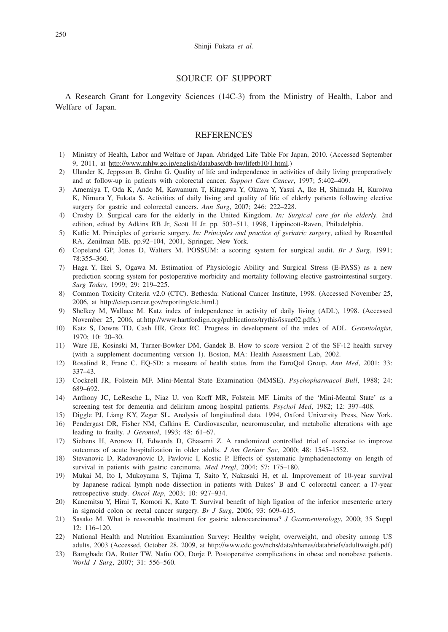## SOURCE OF SUPPORT

A Research Grant for Longevity Sciences (14C-3) from the Ministry of Health, Labor and Welfare of Japan.

## **REFERENCES**

- 1) Ministry of Health, Labor and Welfare of Japan. Abridged Life Table For Japan, 2010. (Accessed September 9, 2011, at http://www.mhlw.go.jp/english/database/db-hw/lifetb10/1.html.)
- 2) Ulander K, Jeppsson B, Grahn G. Quality of life and independence in activities of daily living preoperatively and at follow-up in patients with colorectal cancer. *Support Care Cancer*, 1997; 5:402–409.
- 3) Amemiya T, Oda K, Ando M, Kawamura T, Kitagawa Y, Okawa Y, Yasui A, Ike H, Shimada H, Kuroiwa K, Nimura Y, Fukata S. Activities of daily living and quality of life of elderly patients following elective surgery for gastric and colorectal cancers. *Ann Surg*, 2007; 246: 222–228.
- 4) Crosby D. Surgical care for the elderly in the United Kingdom. *In: Surgical care for the elderly*. 2nd edition, edited by Adkins RB Jr, Scott H Jr. pp. 503–511, 1998, Lippincott-Raven, Philadelphia.
- 5) Katlic M. Principles of geriatric surgery. *In: Principles and practice of geriatric surgery*, edited by Rosenthal RA, Zenilman ME. pp.92–104, 2001, Springer, New York.
- 6) Copeland GP, Jones D, Walters M. POSSUM: a scoring system for surgical audit. *Br J Surg*, 1991; 78:355–360.
- 7) Haga Y, Ikei S, Ogawa M. Estimation of Physiologic Ability and Surgical Stress (E-PASS) as a new prediction scoring system for postoperative morbidity and mortality following elective gastrointestinal surgery. *Surg Today*, 1999; 29: 219–225.
- 8) Common Toxicity Criteria v2.0 (CTC). Bethesda: National Cancer Institute, 1998. (Accessed November 25, 2006, at http://ctep.cancer.gov/reporting/ctc.html.)
- 9) Shelkey M, Wallace M. Katz index of independence in activity of daily living (ADL), 1998. (Accessed November 25, 2006, at:http://www.hartfordign.org/publications/trythis/issue02.pdfx.)
- 10) Katz S, Downs TD, Cash HR, Grotz RC. Progress in development of the index of ADL. *Gerontologist*, 1970; 10: 20–30.
- 11) Ware JE, Kosinski M, Turner-Bowker DM, Gandek B. How to score version 2 of the SF-12 health survey (with a supplement documenting version 1). Boston, MA: Health Assessment Lab, 2002.
- 12) Rosalind R, Franc C. EQ-5D: a measure of health status from the EuroQol Group. *Ann Med*, 2001; 33: 337–43.
- 13) Cockrell JR, Folstein MF. Mini-Mental State Examination (MMSE). *Psychopharmacol Bull*, 1988; 24: 689–692.
- 14) Anthony JC, LeResche L, Niaz U, von Korff MR, Folstein MF. Limits of the 'Mini-Mental State' as a screening test for dementia and delirium among hospital patients. *Psychol Med*, 1982; 12: 397–408.
- 15) Diggle PJ, Liang KY, Zeger SL. Analysis of longitudinal data. 1994, Oxford University Press, New York.
- 16) Pendergast DR, Fisher NM, Calkins E. Cardiovascular, neuromuscular, and metabolic alterations with age leading to frailty. *J Gerontol*, 1993; 48: 61–67.
- 17) Siebens H, Aronow H, Edwards D, Ghasemi Z. A randomized controlled trial of exercise to improve outcomes of acute hospitalization in older adults. *J Am Geriatr Soc*, 2000; 48: 1545–1552.
- 18) Stevanovic D, Radovanovic D, Pavlovic I, Kostic P. Effects of systematic lymphadenectomy on length of survival in patients with gastric carcinoma. *Med Pregl*, 2004; 57: 175–180.
- 19) Mukai M, Ito I, Mukoyama S, Tajima T, Saito Y, Nakasaki H, et al. Improvement of 10-year survival by Japanese radical lymph node dissection in patients with Dukes' B and C colorectal cancer: a 17-year retrospective study. *Oncol Rep*, 2003; 10: 927–934.
- 20) Kanemitsu Y, Hirai T, Komori K, Kato T. Survival benefit of high ligation of the inferior mesenteric artery in sigmoid colon or rectal cancer surgery. *Br J Surg*, 2006; 93: 609–615.
- 21) Sasako M. What is reasonable treatment for gastric adenocarcinoma? *J Gastroenterology*, 2000; 35 Suppl 12: 116–120.
- 22) National Health and Nutrition Examination Survey: Healthy weight, overweight, and obesity among US adults, 2003 (Accessed, October 28, 2009, at http://www.cdc.gov/nchs/data/nhanes/databriefs/adultweight.pdf)
- 23) Bamgbade OA, Rutter TW, Nafiu OO, Dorje P. Postoperative complications in obese and nonobese patients. *World J Surg*, 2007; 31: 556–560.